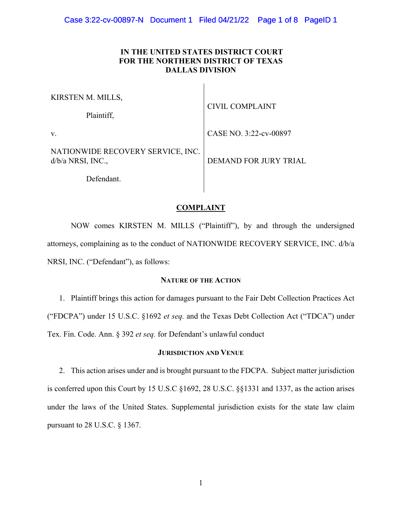# **IN THE UNITED STATES DISTRICT COURT FOR THE NORTHERN DISTRICT OF TEXAS DALLAS DIVISION**

| KIRSTEN M. MILLS,<br>Plaintiff,                        | <b>CIVIL COMPLAINT</b>       |
|--------------------------------------------------------|------------------------------|
| V.                                                     | CASE NO. 3:22-cv-00897       |
| NATIONWIDE RECOVERY SERVICE, INC.<br>d/b/a NRSI, INC., | <b>DEMAND FOR JURY TRIAL</b> |
| Defendant.                                             |                              |

# **COMPLAINT**

 NOW comes KIRSTEN M. MILLS ("Plaintiff"), by and through the undersigned attorneys, complaining as to the conduct of NATIONWIDE RECOVERY SERVICE, INC. d/b/a NRSI, INC. ("Defendant"), as follows:

# **NATURE OF THE ACTION**

1. Plaintiff brings this action for damages pursuant to the Fair Debt Collection Practices Act ("FDCPA") under 15 U.S.C. §1692 *et seq.* and the Texas Debt Collection Act ("TDCA") under Tex. Fin. Code. Ann. § 392 *et seq.* for Defendant's unlawful conduct

## **JURISDICTION AND VENUE**

2. This action arises under and is brought pursuant to the FDCPA. Subject matter jurisdiction is conferred upon this Court by 15 U.S.C §1692, 28 U.S.C. §§1331 and 1337, as the action arises under the laws of the United States. Supplemental jurisdiction exists for the state law claim pursuant to 28 U.S.C. § 1367.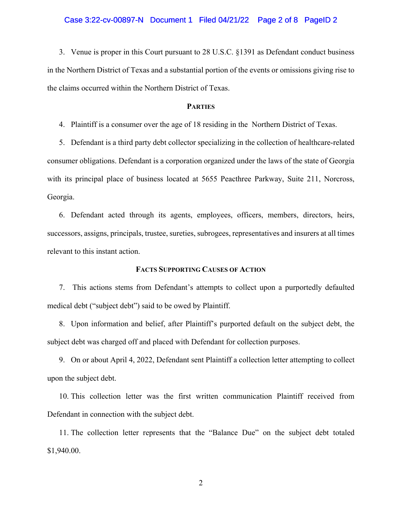### Case 3:22-cv-00897-N Document 1 Filed 04/21/22 Page 2 of 8 PageID 2

3. Venue is proper in this Court pursuant to 28 U.S.C. §1391 as Defendant conduct business in the Northern District of Texas and a substantial portion of the events or omissions giving rise to the claims occurred within the Northern District of Texas.

## **PARTIES**

4. Plaintiff is a consumer over the age of 18 residing in the Northern District of Texas.

5. Defendant is a third party debt collector specializing in the collection of healthcare-related consumer obligations. Defendant is a corporation organized under the laws of the state of Georgia with its principal place of business located at 5655 Peacthree Parkway, Suite 211, Norcross, Georgia.

6. Defendant acted through its agents, employees, officers, members, directors, heirs, successors, assigns, principals, trustee, sureties, subrogees, representatives and insurers at all times relevant to this instant action.

## **FACTS SUPPORTING CAUSES OF ACTION**

7. This actions stems from Defendant's attempts to collect upon a purportedly defaulted medical debt ("subject debt") said to be owed by Plaintiff.

8. Upon information and belief, after Plaintiff's purported default on the subject debt, the subject debt was charged off and placed with Defendant for collection purposes.

9. On or about April 4, 2022, Defendant sent Plaintiff a collection letter attempting to collect upon the subject debt.

10. This collection letter was the first written communication Plaintiff received from Defendant in connection with the subject debt.

11. The collection letter represents that the "Balance Due" on the subject debt totaled \$1,940.00.

2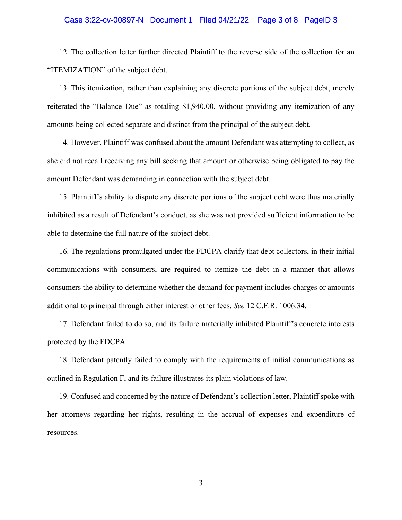## Case 3:22-cv-00897-N Document 1 Filed 04/21/22 Page 3 of 8 PageID 3

12. The collection letter further directed Plaintiff to the reverse side of the collection for an "ITEMIZATION" of the subject debt.

13. This itemization, rather than explaining any discrete portions of the subject debt, merely reiterated the "Balance Due" as totaling \$1,940.00, without providing any itemization of any amounts being collected separate and distinct from the principal of the subject debt.

14. However, Plaintiff was confused about the amount Defendant was attempting to collect, as she did not recall receiving any bill seeking that amount or otherwise being obligated to pay the amount Defendant was demanding in connection with the subject debt.

15. Plaintiff's ability to dispute any discrete portions of the subject debt were thus materially inhibited as a result of Defendant's conduct, as she was not provided sufficient information to be able to determine the full nature of the subject debt.

16. The regulations promulgated under the FDCPA clarify that debt collectors, in their initial communications with consumers, are required to itemize the debt in a manner that allows consumers the ability to determine whether the demand for payment includes charges or amounts additional to principal through either interest or other fees. *See* 12 C.F.R. 1006.34.

17. Defendant failed to do so, and its failure materially inhibited Plaintiff's concrete interests protected by the FDCPA.

18. Defendant patently failed to comply with the requirements of initial communications as outlined in Regulation F, and its failure illustrates its plain violations of law.

19. Confused and concerned by the nature of Defendant's collection letter, Plaintiff spoke with her attorneys regarding her rights, resulting in the accrual of expenses and expenditure of resources.

3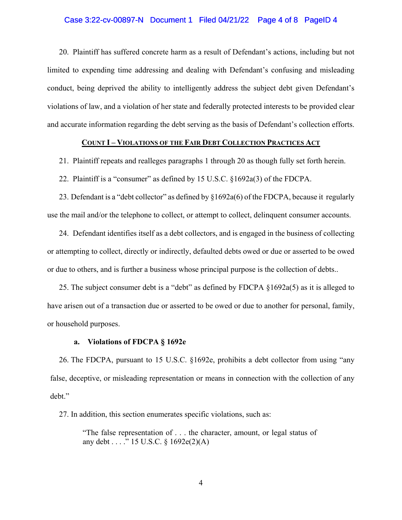## Case 3:22-cv-00897-N Document 1 Filed 04/21/22 Page 4 of 8 PageID 4

20. Plaintiff has suffered concrete harm as a result of Defendant's actions, including but not limited to expending time addressing and dealing with Defendant's confusing and misleading conduct, being deprived the ability to intelligently address the subject debt given Defendant's violations of law, and a violation of her state and federally protected interests to be provided clear and accurate information regarding the debt serving as the basis of Defendant's collection efforts.

# **COUNT I – VIOLATIONS OF THE FAIR DEBT COLLECTION PRACTICES ACT**

21. Plaintiff repeats and realleges paragraphs 1 through 20 as though fully set forth herein.

22. Plaintiff is a "consumer" as defined by 15 U.S.C. §1692a(3) of the FDCPA.

23. Defendant is a "debt collector" as defined by §1692a(6) of the FDCPA, because it regularly use the mail and/or the telephone to collect, or attempt to collect, delinquent consumer accounts.

24. Defendant identifies itself as a debt collectors, and is engaged in the business of collecting or attempting to collect, directly or indirectly, defaulted debts owed or due or asserted to be owed or due to others, and is further a business whose principal purpose is the collection of debts..

25. The subject consumer debt is a "debt" as defined by FDCPA §1692a(5) as it is alleged to have arisen out of a transaction due or asserted to be owed or due to another for personal, family, or household purposes.

### **a. Violations of FDCPA § 1692e**

26. The FDCPA, pursuant to 15 U.S.C. §1692e, prohibits a debt collector from using "any false, deceptive, or misleading representation or means in connection with the collection of any debt."

27. In addition, this section enumerates specific violations, such as:

"The false representation of . . . the character, amount, or legal status of any debt . . . . " 15 U.S.C.  $\{1692e(2)(A)\}$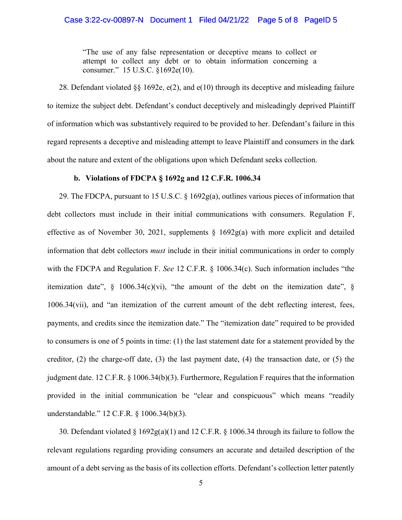"The use of any false representation or deceptive means to collect or attempt to collect any debt or to obtain information concerning a consumer." 15 U.S.C. §1692e(10).

28. Defendant violated  $\S$  1692e, e(2), and e(10) through its deceptive and misleading failure to itemize the subject debt. Defendant's conduct deceptively and misleadingly deprived Plaintiff of information which was substantively required to be provided to her. Defendant's failure in this regard represents a deceptive and misleading attempt to leave Plaintiff and consumers in the dark about the nature and extent of the obligations upon which Defendant seeks collection.

# **b. Violations of FDCPA § 1692g and 12 C.F.R. 1006.34**

29. The FDCPA, pursuant to 15 U.S.C. § 1692g(a), outlines various pieces of information that debt collectors must include in their initial communications with consumers. Regulation F, effective as of November 30, 2021, supplements § 1692g(a) with more explicit and detailed information that debt collectors *must* include in their initial communications in order to comply with the FDCPA and Regulation F. *See* 12 C.F.R. § 1006.34(c). Such information includes "the itemization date",  $\S$  1006.34(c)(vi), "the amount of the debt on the itemization date",  $\S$ 1006.34(vii), and "an itemization of the current amount of the debt reflecting interest, fees, payments, and credits since the itemization date." The "itemization date" required to be provided to consumers is one of 5 points in time: (1) the last statement date for a statement provided by the creditor,  $(2)$  the charge-off date,  $(3)$  the last payment date,  $(4)$  the transaction date, or  $(5)$  the judgment date. 12 C.F.R. § 1006.34(b)(3). Furthermore, Regulation F requires that the information provided in the initial communication be "clear and conspicuous" which means "readily understandable." 12 C.F.R. § 1006.34(b)(3).

30. Defendant violated § 1692g(a)(1) and 12 C.F.R. § 1006.34 through its failure to follow the relevant regulations regarding providing consumers an accurate and detailed description of the amount of a debt serving as the basis of its collection efforts. Defendant's collection letter patently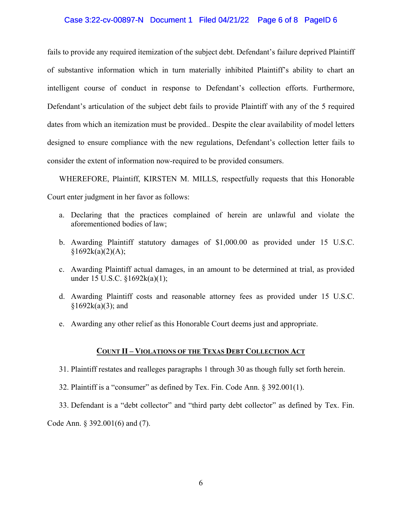## Case 3:22-cv-00897-N Document 1 Filed 04/21/22 Page 6 of 8 PageID 6

fails to provide any required itemization of the subject debt. Defendant's failure deprived Plaintiff of substantive information which in turn materially inhibited Plaintiff's ability to chart an intelligent course of conduct in response to Defendant's collection efforts. Furthermore, Defendant's articulation of the subject debt fails to provide Plaintiff with any of the 5 required dates from which an itemization must be provided.. Despite the clear availability of model letters designed to ensure compliance with the new regulations, Defendant's collection letter fails to consider the extent of information now-required to be provided consumers.

WHEREFORE, Plaintiff, KIRSTEN M. MILLS, respectfully requests that this Honorable Court enter judgment in her favor as follows:

- a. Declaring that the practices complained of herein are unlawful and violate the aforementioned bodies of law;
- b. Awarding Plaintiff statutory damages of \$1,000.00 as provided under 15 U.S.C.  $§1692k(a)(2)(A);$
- c. Awarding Plaintiff actual damages, in an amount to be determined at trial, as provided under 15 U.S.C. §1692k(a)(1);
- d. Awarding Plaintiff costs and reasonable attorney fees as provided under 15 U.S.C.  $§1692k(a)(3);$  and
- e. Awarding any other relief as this Honorable Court deems just and appropriate.

# **COUNT II – VIOLATIONS OF THE TEXAS DEBT COLLECTION ACT**

- 31. Plaintiff restates and realleges paragraphs 1 through 30 as though fully set forth herein.
- 32. Plaintiff is a "consumer" as defined by Tex. Fin. Code Ann. § 392.001(1).
- 33. Defendant is a "debt collector" and "third party debt collector" as defined by Tex. Fin.

Code Ann. § 392.001(6) and (7).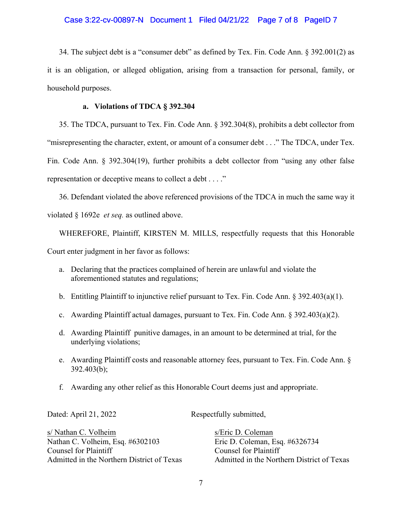# Case 3:22-cv-00897-N Document 1 Filed 04/21/22 Page 7 of 8 PageID 7

34. The subject debt is a "consumer debt" as defined by Tex. Fin. Code Ann. § 392.001(2) as it is an obligation, or alleged obligation, arising from a transaction for personal, family, or household purposes.

## **a. Violations of TDCA § 392.304**

35. The TDCA, pursuant to Tex. Fin. Code Ann. § 392.304(8), prohibits a debt collector from "misrepresenting the character, extent, or amount of a consumer debt . . ." The TDCA, under Tex. Fin. Code Ann. § 392.304(19), further prohibits a debt collector from "using any other false representation or deceptive means to collect a debt . . . ."

36. Defendant violated the above referenced provisions of the TDCA in much the same way it violated § 1692e *et seq.* as outlined above.

WHEREFORE, Plaintiff, KIRSTEN M. MILLS, respectfully requests that this Honorable Court enter judgment in her favor as follows:

- a. Declaring that the practices complained of herein are unlawful and violate the aforementioned statutes and regulations;
- b. Entitling Plaintiff to injunctive relief pursuant to Tex. Fin. Code Ann.  $\S 392.403(a)(1)$ .
- c. Awarding Plaintiff actual damages, pursuant to Tex. Fin. Code Ann. § 392.403(a)(2).
- d. Awarding Plaintiff punitive damages, in an amount to be determined at trial, for the underlying violations;
- e. Awarding Plaintiff costs and reasonable attorney fees, pursuant to Tex. Fin. Code Ann. § 392.403(b);
- f. Awarding any other relief as this Honorable Court deems just and appropriate.

Dated: April 21, 2022 Respectfully submitted,

s/ Nathan C. Volheim s/Eric D. Coleman Nathan C. Volheim, Esq. #6302103 Eric D. Coleman, Esq. #6326734 Counsel for Plaintiff Counsel for Plaintiff Admitted in the Northern District of Texas Admitted in the Northern District of Texas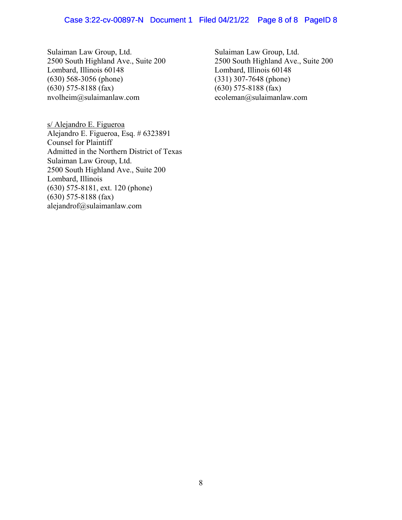Sulaiman Law Group, Ltd. Sulaiman Law Group, Ltd. 2500 South Highland Ave., Suite 200 2500 South Highland Ave., Suite 200 Lombard, Illinois 60148 Lombard, Illinois 60148 (630) 568-3056 (phone) (331) 307-7648 (phone)<br>
(630) 575-8188 (fax) (630) 575-8188 (fax) nvolheim@sulaimanlaw.com ecoleman@sulaimanlaw.com

s/ Alejandro E. Figueroa Alejandro E. Figueroa, Esq. # 6323891 Counsel for Plaintiff Admitted in the Northern District of Texas Sulaiman Law Group, Ltd. 2500 South Highland Ave., Suite 200 Lombard, Illinois (630) 575-8181, ext. 120 (phone)  $(630)$  575-8188 (fax) alejandrof@sulaimanlaw.com

 $(630)$  575-8188 (fax)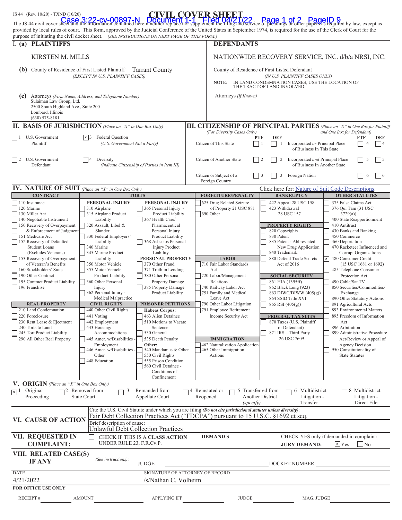| JS 44 (Rev. 10/20) - TXND (10/20)                                                                                                                                                                                                                                                                                                                                                                                                                                                                                                                                     |                                                                                                                                                                                                                                                                                                                                                                                                                                                                                                                          |                                                                                                                                                                                                                                                                                                                                                                                                                                                                                                                                            | <b>CIVIL COVER SHEET</b>                                                                                                                                                                                                                                                                                                                                                |                                                                                                                                                                                                                                                                                                                                                                                                                                                                  |                                                                                                                                                                                                                                                                                                                                                                                                                                                                                                                                                                                                                     |  |  |
|-----------------------------------------------------------------------------------------------------------------------------------------------------------------------------------------------------------------------------------------------------------------------------------------------------------------------------------------------------------------------------------------------------------------------------------------------------------------------------------------------------------------------------------------------------------------------|--------------------------------------------------------------------------------------------------------------------------------------------------------------------------------------------------------------------------------------------------------------------------------------------------------------------------------------------------------------------------------------------------------------------------------------------------------------------------------------------------------------------------|--------------------------------------------------------------------------------------------------------------------------------------------------------------------------------------------------------------------------------------------------------------------------------------------------------------------------------------------------------------------------------------------------------------------------------------------------------------------------------------------------------------------------------------------|-------------------------------------------------------------------------------------------------------------------------------------------------------------------------------------------------------------------------------------------------------------------------------------------------------------------------------------------------------------------------|------------------------------------------------------------------------------------------------------------------------------------------------------------------------------------------------------------------------------------------------------------------------------------------------------------------------------------------------------------------------------------------------------------------------------------------------------------------|---------------------------------------------------------------------------------------------------------------------------------------------------------------------------------------------------------------------------------------------------------------------------------------------------------------------------------------------------------------------------------------------------------------------------------------------------------------------------------------------------------------------------------------------------------------------------------------------------------------------|--|--|
|                                                                                                                                                                                                                                                                                                                                                                                                                                                                                                                                                                       |                                                                                                                                                                                                                                                                                                                                                                                                                                                                                                                          |                                                                                                                                                                                                                                                                                                                                                                                                                                                                                                                                            |                                                                                                                                                                                                                                                                                                                                                                         | The JS 44 civil cover sheet and the information contained herein neither replace nor supplement the filing and service of pleadings or other papers as required by law, except as<br>provided by local rules of court. This form, approved by the Judicial Conference of the United States in September 1974, is required for the use of the Clerk of Court for the                                                                                              |                                                                                                                                                                                                                                                                                                                                                                                                                                                                                                                                                                                                                     |  |  |
| I. (a) PLAINTIFFS                                                                                                                                                                                                                                                                                                                                                                                                                                                                                                                                                     | purpose of initiating the civil docket sheet. (SEE INSTRUCTIONS ON NEXT PAGE OF THIS FORM.)                                                                                                                                                                                                                                                                                                                                                                                                                              |                                                                                                                                                                                                                                                                                                                                                                                                                                                                                                                                            |                                                                                                                                                                                                                                                                                                                                                                         | <b>DEFENDANTS</b>                                                                                                                                                                                                                                                                                                                                                                                                                                                |                                                                                                                                                                                                                                                                                                                                                                                                                                                                                                                                                                                                                     |  |  |
|                                                                                                                                                                                                                                                                                                                                                                                                                                                                                                                                                                       | KIRSTEN M. MILLS                                                                                                                                                                                                                                                                                                                                                                                                                                                                                                         |                                                                                                                                                                                                                                                                                                                                                                                                                                                                                                                                            |                                                                                                                                                                                                                                                                                                                                                                         | NATIONWIDE RECOVERY SERVICE, INC. d/b/a NRSI, INC.                                                                                                                                                                                                                                                                                                                                                                                                               |                                                                                                                                                                                                                                                                                                                                                                                                                                                                                                                                                                                                                     |  |  |
|                                                                                                                                                                                                                                                                                                                                                                                                                                                                                                                                                                       |                                                                                                                                                                                                                                                                                                                                                                                                                                                                                                                          |                                                                                                                                                                                                                                                                                                                                                                                                                                                                                                                                            |                                                                                                                                                                                                                                                                                                                                                                         |                                                                                                                                                                                                                                                                                                                                                                                                                                                                  |                                                                                                                                                                                                                                                                                                                                                                                                                                                                                                                                                                                                                     |  |  |
| County of Residence of First Listed Plaintiff<br>(b)<br><b>Tarrant County</b><br>(EXCEPT IN U.S. PLAINTIFF CASES)                                                                                                                                                                                                                                                                                                                                                                                                                                                     |                                                                                                                                                                                                                                                                                                                                                                                                                                                                                                                          | County of Residence of First Listed Defendant<br>(IN U.S. PLAINTIFF CASES ONLY)                                                                                                                                                                                                                                                                                                                                                                                                                                                            |                                                                                                                                                                                                                                                                                                                                                                         |                                                                                                                                                                                                                                                                                                                                                                                                                                                                  |                                                                                                                                                                                                                                                                                                                                                                                                                                                                                                                                                                                                                     |  |  |
|                                                                                                                                                                                                                                                                                                                                                                                                                                                                                                                                                                       |                                                                                                                                                                                                                                                                                                                                                                                                                                                                                                                          |                                                                                                                                                                                                                                                                                                                                                                                                                                                                                                                                            | NOTE:                                                                                                                                                                                                                                                                                                                                                                   | IN LAND CONDEMNATION CASES, USE THE LOCATION OF<br>THE TRACT OF LAND INVOLVED.                                                                                                                                                                                                                                                                                                                                                                                   |                                                                                                                                                                                                                                                                                                                                                                                                                                                                                                                                                                                                                     |  |  |
| (c)<br>Sulaiman Law Group, Ltd.<br>2500 South Highland Ave., Suite 200<br>Lombard, Illinois<br>$(630)$ 575-8181                                                                                                                                                                                                                                                                                                                                                                                                                                                       | Attorneys (Firm Name, Address, and Telephone Number)                                                                                                                                                                                                                                                                                                                                                                                                                                                                     |                                                                                                                                                                                                                                                                                                                                                                                                                                                                                                                                            | Attorneys (If Known)                                                                                                                                                                                                                                                                                                                                                    |                                                                                                                                                                                                                                                                                                                                                                                                                                                                  |                                                                                                                                                                                                                                                                                                                                                                                                                                                                                                                                                                                                                     |  |  |
| <b>II. BASIS OF JURISDICTION</b> (Place an "X" in One Box Only)                                                                                                                                                                                                                                                                                                                                                                                                                                                                                                       |                                                                                                                                                                                                                                                                                                                                                                                                                                                                                                                          |                                                                                                                                                                                                                                                                                                                                                                                                                                                                                                                                            |                                                                                                                                                                                                                                                                                                                                                                         | <b>III. CITIZENSHIP OF PRINCIPAL PARTIES</b> (Place an "X" in One Box for Plaintiff                                                                                                                                                                                                                                                                                                                                                                              |                                                                                                                                                                                                                                                                                                                                                                                                                                                                                                                                                                                                                     |  |  |
| U.S. Government<br>l 1<br>Plaintiff                                                                                                                                                                                                                                                                                                                                                                                                                                                                                                                                   | $\lfloor x \rfloor$ Federal Question<br>(U.S. Government Not a Party)                                                                                                                                                                                                                                                                                                                                                                                                                                                    |                                                                                                                                                                                                                                                                                                                                                                                                                                                                                                                                            | Citizen of This State                                                                                                                                                                                                                                                                                                                                                   | (For Diversity Cases Only)<br>and One Box for Defendant)<br><b>DEF</b><br><b>PTF</b><br><b>PTF</b><br>DEF<br>Incorporated or Principal Place<br>$\Delta$<br> 4<br>$\Box$<br>1<br>of Business In This State                                                                                                                                                                                                                                                       |                                                                                                                                                                                                                                                                                                                                                                                                                                                                                                                                                                                                                     |  |  |
| U.S. Government<br>12.<br>Defendant                                                                                                                                                                                                                                                                                                                                                                                                                                                                                                                                   | Diversity<br>$\overline{4}$<br>(Indicate Citizenship of Parties in Item III)                                                                                                                                                                                                                                                                                                                                                                                                                                             |                                                                                                                                                                                                                                                                                                                                                                                                                                                                                                                                            | Citizen of Another State                                                                                                                                                                                                                                                                                                                                                | Incorporated and Principal Place<br>$\frac{12}{2}$<br>2<br>of Business In Another State                                                                                                                                                                                                                                                                                                                                                                          | 5<br>$\overline{5}$                                                                                                                                                                                                                                                                                                                                                                                                                                                                                                                                                                                                 |  |  |
|                                                                                                                                                                                                                                                                                                                                                                                                                                                                                                                                                                       |                                                                                                                                                                                                                                                                                                                                                                                                                                                                                                                          |                                                                                                                                                                                                                                                                                                                                                                                                                                                                                                                                            | Citizen or Subject of a<br>Foreign Country                                                                                                                                                                                                                                                                                                                              | $\vert$ 3<br>3<br>Foreign Nation                                                                                                                                                                                                                                                                                                                                                                                                                                 | 6<br>$\frac{16}{2}$                                                                                                                                                                                                                                                                                                                                                                                                                                                                                                                                                                                                 |  |  |
| IV. NATURE OF SUIT (Place an "X" in One Box Only)<br><b>CONTRACT</b>                                                                                                                                                                                                                                                                                                                                                                                                                                                                                                  |                                                                                                                                                                                                                                                                                                                                                                                                                                                                                                                          | <b>TORTS</b>                                                                                                                                                                                                                                                                                                                                                                                                                                                                                                                               | <b>FORFEITURE/PENALTY</b>                                                                                                                                                                                                                                                                                                                                               | Click here for: Nature of Suit Code Descriptions.<br><b>BANKRUPTCY</b>                                                                                                                                                                                                                                                                                                                                                                                           | <b>OTHER STATUTES</b>                                                                                                                                                                                                                                                                                                                                                                                                                                                                                                                                                                                               |  |  |
| 110 Insurance                                                                                                                                                                                                                                                                                                                                                                                                                                                                                                                                                         | PERSONAL INJURY                                                                                                                                                                                                                                                                                                                                                                                                                                                                                                          | PERSONAL INJURY                                                                                                                                                                                                                                                                                                                                                                                                                                                                                                                            | 625 Drug Related Seizure                                                                                                                                                                                                                                                                                                                                                | 422 Appeal 28 USC 158                                                                                                                                                                                                                                                                                                                                                                                                                                            | 375 False Claims Act                                                                                                                                                                                                                                                                                                                                                                                                                                                                                                                                                                                                |  |  |
| 120 Marine<br>130 Miller Act<br>140 Negotiable Instrument<br>150 Recovery of Overpayment<br>& Enforcement of Judgment<br>151 Medicare Act<br>152 Recovery of Defaulted<br><b>Student Loans</b><br>(Excludes Veterans)<br>153 Recovery of Overpayment<br>of Veteran's Benefits<br>160 Stockholders' Suits<br>190 Other Contract<br>195 Contract Product Liability<br>196 Franchise<br><b>REAL PROPERTY</b><br>210 Land Condemnation<br>220 Foreclosure<br>230 Rent Lease & Ejectment<br>240 Torts to Land<br>245 Tort Product Liability<br>290 All Other Real Property | 310 Airplane<br>315 Airplane Product<br>Liability<br>320 Assault, Libel &<br>Slander<br>330 Federal Employers'<br>Liability<br>340 Marine<br>345 Marine Product<br>Liability<br>350 Motor Vehicle<br>355 Motor Vehicle<br>Product Liability<br>360 Other Personal<br>Injury<br>362 Personal Injury -<br>Medical Malpractice<br><b>CIVIL RIGHTS</b><br>440 Other Civil Rights<br>441 Voting<br>442 Employment<br>443 Housing/<br>Accommodations<br>445 Amer. w/Disabilities -<br>Employment<br>446 Amer. w/Disabilities - | 365 Personal Injury -<br>Product Liability<br>367 Health Care/<br>Pharmaceutical<br>Personal Injury<br>Product Liability<br>368 Asbestos Personal<br><b>Injury Product</b><br>Liability<br>PERSONAL PROPERTY<br>370 Other Fraud<br>371 Truth in Lending<br>380 Other Personal<br><b>Property Damage</b><br>385 Property Damage<br>Product Liability<br><b>PRISONER PETITIONS</b><br><b>Habeas Corpus:</b><br>463 Alien Detainee<br>510 Motions to Vacate<br>Sentence<br>530 General<br>535 Death Penalty<br>Other:<br>540 Mandamus & Other | of Property 21 USC 881<br>690 Other<br><b>LABOR</b><br>710 Fair Labor Standards<br>Act<br>720 Labor/Management<br>Relations<br>740 Railway Labor Act<br>751 Family and Medical<br>Leave Act<br>790 Other Labor Litigation<br>791 Employee Retirement<br>Income Security Act<br><b>IMMIGRATION</b><br>462 Naturalization Application<br>465 Other Immigration<br>Actions | 423 Withdrawal<br>28 USC 157<br><b>PROPERTY RIGHTS</b><br>820 Copyrights<br>830 Patent<br>835 Patent - Abbreviated<br>New Drug Application<br>840 Trademark<br>880 Defend Trade Secrets<br>Act of 2016<br><b>SOCIAL SECURITY</b><br>861 HIA (1395ff)<br>862 Black Lung (923)<br>863 DIWC/DIWW (405(g))<br>864 SSID Title XVI<br>865 RSI (405(g))<br><b>FEDERAL TAX SUITS</b><br>870 Taxes (U.S. Plaintiff<br>or Defendant)<br>871 IRS-Third Party<br>26 USC 7609 | 376 Qui Tam (31 USC<br>3729(a)<br>400 State Reapportionment<br>410 Antitrust<br>430 Banks and Banking<br>450 Commerce<br>460 Deportation<br>470 Racketeer Influenced and<br>Corrupt Organizations<br>480 Consumer Credit<br>(15 USC 1681 or 1692)<br>485 Telephone Consumer<br>Protection Act<br>490 Cable/Sat TV<br>850 Securities/Commodities/<br>Exchange<br>890 Other Statutory Actions<br>891 Agricultural Acts<br>893 Environmental Matters<br>895 Freedom of Information<br>Act<br>896 Arbitration<br>899 Administrative Procedure<br>Act/Review or Appeal of<br>Agency Decision<br>950 Constitutionality of |  |  |
| V. ORIGIN (Place an "X" in One Box Only)<br>Original<br>$\sqrt{x}$ <sup>1</sup><br>Proceeding                                                                                                                                                                                                                                                                                                                                                                                                                                                                         | Other<br>448 Education<br>$\Box$ 2 Removed from<br>3<br><b>State Court</b>                                                                                                                                                                                                                                                                                                                                                                                                                                               | 550 Civil Rights<br>555 Prison Condition<br>560 Civil Detainee -<br>Conditions of<br>Confinement<br>Remanded from<br>Appellate Court                                                                                                                                                                                                                                                                                                                                                                                                       | □ 4 Reinstated or<br>П<br>Reopened                                                                                                                                                                                                                                                                                                                                      | 5 Transferred from<br>6 Multidistrict<br>Another District<br>Litigation -<br>(specify)<br>Transfer                                                                                                                                                                                                                                                                                                                                                               | <b>State Statutes</b><br>$\Box$ 8 Multidistrict<br>Litigation -<br>Direct File                                                                                                                                                                                                                                                                                                                                                                                                                                                                                                                                      |  |  |
| VI. CAUSE OF ACTION                                                                                                                                                                                                                                                                                                                                                                                                                                                                                                                                                   | Brief description of cause:<br><b>Unlawful Debt Collection Practices</b>                                                                                                                                                                                                                                                                                                                                                                                                                                                 |                                                                                                                                                                                                                                                                                                                                                                                                                                                                                                                                            | Cite the U.S. Civil Statute under which you are filing (Do not cite jurisdictional statutes unless diversity):                                                                                                                                                                                                                                                          | Fair Debt Collection Practices Act ("FDCPA") pursuant to 15 U.S.C. §1692 et seq.                                                                                                                                                                                                                                                                                                                                                                                 |                                                                                                                                                                                                                                                                                                                                                                                                                                                                                                                                                                                                                     |  |  |
| VII. REQUESTED IN<br><b>COMPLAINT:</b>                                                                                                                                                                                                                                                                                                                                                                                                                                                                                                                                | UNDER RULE 23, F.R.Cv.P.                                                                                                                                                                                                                                                                                                                                                                                                                                                                                                 | CHECK IF THIS IS A CLASS ACTION                                                                                                                                                                                                                                                                                                                                                                                                                                                                                                            | <b>DEMAND \$</b>                                                                                                                                                                                                                                                                                                                                                        | <b>JURY DEMAND:</b>                                                                                                                                                                                                                                                                                                                                                                                                                                              | CHECK YES only if demanded in complaint:<br>$x$ Yes<br>$\Box$ No                                                                                                                                                                                                                                                                                                                                                                                                                                                                                                                                                    |  |  |
| VIII. RELATED CASE(S)<br><b>IF ANY</b>                                                                                                                                                                                                                                                                                                                                                                                                                                                                                                                                | (See instructions):                                                                                                                                                                                                                                                                                                                                                                                                                                                                                                      | <b>JUDGE</b>                                                                                                                                                                                                                                                                                                                                                                                                                                                                                                                               |                                                                                                                                                                                                                                                                                                                                                                         | DOCKET NUMBER                                                                                                                                                                                                                                                                                                                                                                                                                                                    |                                                                                                                                                                                                                                                                                                                                                                                                                                                                                                                                                                                                                     |  |  |
| <b>DATE</b><br>4/21/2022                                                                                                                                                                                                                                                                                                                                                                                                                                                                                                                                              |                                                                                                                                                                                                                                                                                                                                                                                                                                                                                                                          | SIGNATURE OF ATTORNEY OF RECORD<br>/s/Nathan C. Volheim                                                                                                                                                                                                                                                                                                                                                                                                                                                                                    |                                                                                                                                                                                                                                                                                                                                                                         |                                                                                                                                                                                                                                                                                                                                                                                                                                                                  |                                                                                                                                                                                                                                                                                                                                                                                                                                                                                                                                                                                                                     |  |  |
| <b>FOR OFFICE USE ONLY</b>                                                                                                                                                                                                                                                                                                                                                                                                                                                                                                                                            |                                                                                                                                                                                                                                                                                                                                                                                                                                                                                                                          |                                                                                                                                                                                                                                                                                                                                                                                                                                                                                                                                            |                                                                                                                                                                                                                                                                                                                                                                         |                                                                                                                                                                                                                                                                                                                                                                                                                                                                  |                                                                                                                                                                                                                                                                                                                                                                                                                                                                                                                                                                                                                     |  |  |
| RECEIPT#                                                                                                                                                                                                                                                                                                                                                                                                                                                                                                                                                              | <b>AMOUNT</b>                                                                                                                                                                                                                                                                                                                                                                                                                                                                                                            | <b>APPLYING IFP</b>                                                                                                                                                                                                                                                                                                                                                                                                                                                                                                                        | <b>JUDGE</b>                                                                                                                                                                                                                                                                                                                                                            | MAG. JUDGE                                                                                                                                                                                                                                                                                                                                                                                                                                                       |                                                                                                                                                                                                                                                                                                                                                                                                                                                                                                                                                                                                                     |  |  |